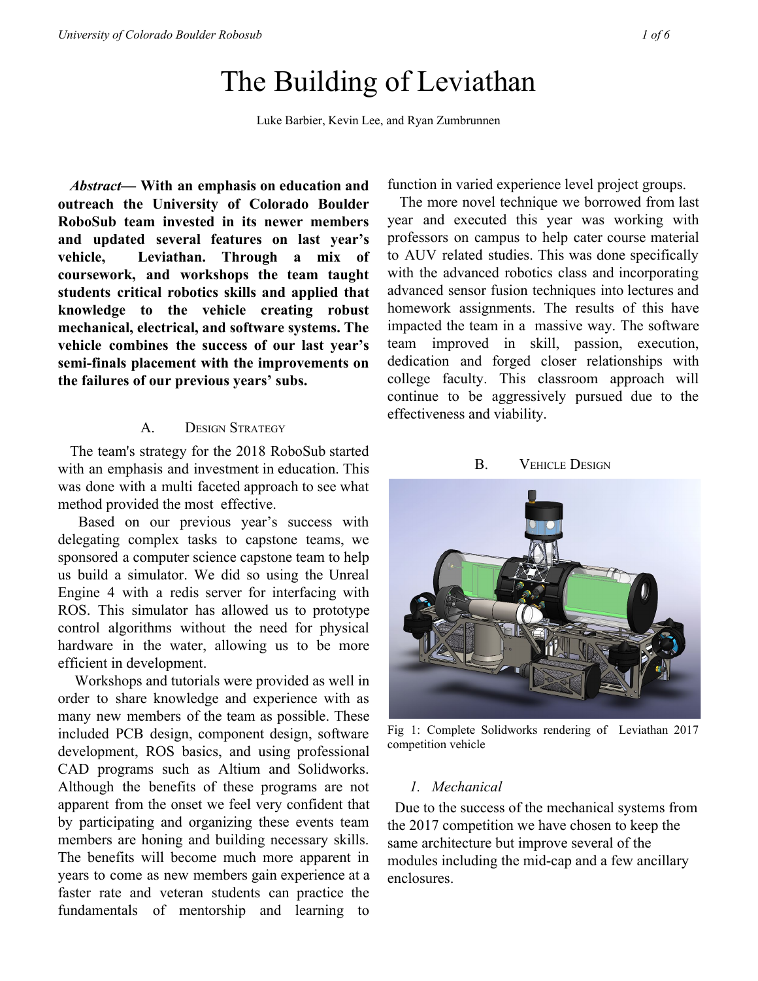# The Building of Leviathan

Luke Barbier, Kevin Lee, and Ryan Zumbrunnen

*Abstract***— With an emphasis on education and outreach the University of Colorado Boulder RoboSub team invested in its newer members and updated several features on last year's vehicle, Leviathan. Through a mix of coursework, and workshops the team taught students critical robotics skills and applied that knowledge to the vehicle creating robust mechanical, electrical, and software systems. The vehicle combines the success of our last year's semi-finals placement with the improvements on the failures of our previous years' subs.**

#### A. DESIGN STRATEGY

The team's strategy for the 2018 RoboSub started with an emphasis and investment in education. This was done with a multi faceted approach to see what method provided the most effective.

Based on our previous year's success with delegating complex tasks to capstone teams, we sponsored a computer science capstone team to help us build a simulator. We did so using the Unreal Engine 4 with a redis server for interfacing with ROS. This simulator has allowed us to prototype control algorithms without the need for physical hardware in the water, allowing us to be more efficient in development.

Workshops and tutorials were provided as well in order to share knowledge and experience with as many new members of the team as possible. These included PCB design, component design, software development, ROS basics, and using professional CAD programs such as Altium and Solidworks. Although the benefits of these programs are not apparent from the onset we feel very confident that by participating and organizing these events team members are honing and building necessary skills. The benefits will become much more apparent in years to come as new members gain experience at a faster rate and veteran students can practice the fundamentals of mentorship and learning to function in varied experience level project groups.

The more novel technique we borrowed from last year and executed this year was working with professors on campus to help cater course material to AUV related studies. This was done specifically with the advanced robotics class and incorporating advanced sensor fusion techniques into lectures and homework assignments. The results of this have impacted the team in a massive way. The software team improved in skill, passion, execution, dedication and forged closer relationships with college faculty. This classroom approach will continue to be aggressively pursued due to the effectiveness and viability.

B. **VEHICLE DESIGN** 



Fig 1: Complete Solidworks rendering of Leviathan 2017 competition vehicle

#### *1. Mechanical*

 Due to the success of the mechanical systems from the 2017 competition we have chosen to keep the same architecture but improve several of the modules including the mid-cap and a few ancillary enclosures.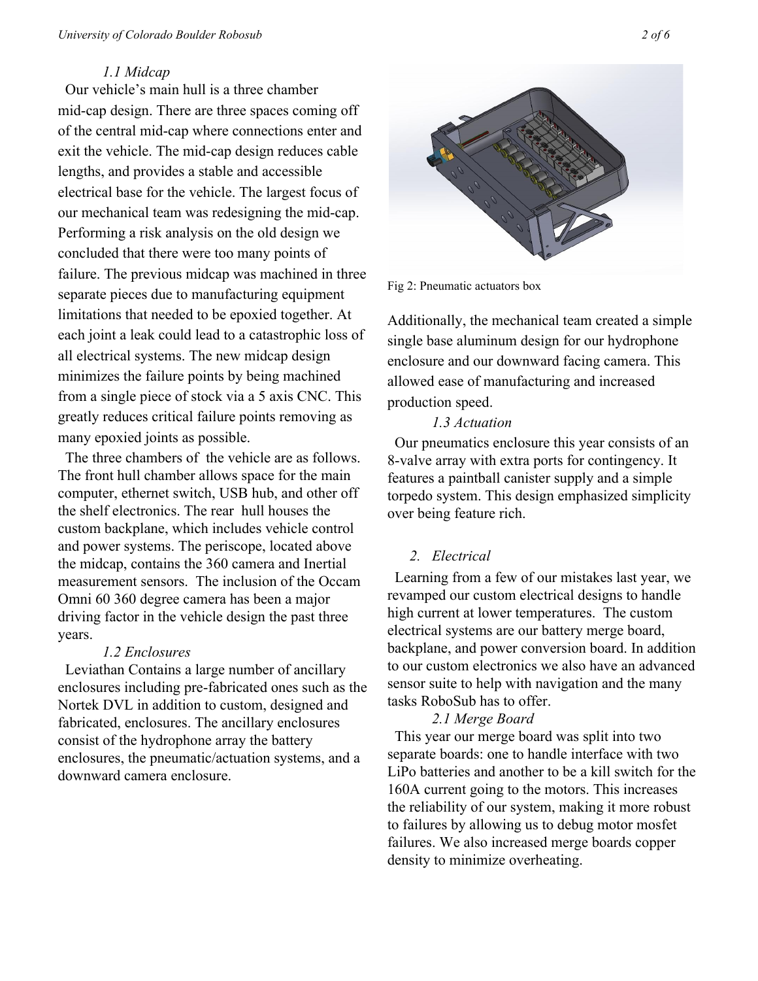#### *University of Colorado Boulder Robosub 2 of 6*

#### *1.1 Midcap*

 Our vehicle's main hull is a three chamber mid-cap design. There are three spaces coming off of the central mid-cap where connections enter and exit the vehicle. The mid-cap design reduces cable lengths, and provides a stable and accessible electrical base for the vehicle. The largest focus of our mechanical team was redesigning the mid-cap. Performing a risk analysis on the old design we concluded that there were too many points of failure. The previous midcap was machined in three separate pieces due to manufacturing equipment limitations that needed to be epoxied together. At each joint a leak could lead to a catastrophic loss of all electrical systems. The new midcap design minimizes the failure points by being machined from a single piece of stock via a 5 axis CNC. This greatly reduces critical failure points removing as many epoxied joints as possible.

 The three chambers of the vehicle are as follows. The front hull chamber allows space for the main computer, ethernet switch, USB hub, and other off the shelf electronics. The rear hull houses the custom backplane, which includes vehicle control and power systems. The periscope, located above the midcap, contains the 360 camera and Inertial measurement sensors. The inclusion of the Occam Omni 60 360 degree camera has been a major driving factor in the vehicle design the past three years.

#### *1.2 Enclosures*

 Leviathan Contains a large number of ancillary enclosures including pre-fabricated ones such as the Nortek DVL in addition to custom, designed and fabricated, enclosures. The ancillary enclosures consist of the hydrophone array the battery enclosures, the pneumatic/actuation systems, and a downward camera enclosure.



Fig 2: Pneumatic actuators box

Additionally, the mechanical team created a simple single base aluminum design for our hydrophone enclosure and our downward facing camera. This allowed ease of manufacturing and increased production speed.

# *1.3 Actuation*

 Our pneumatics enclosure this year consists of an 8-valve array with extra ports for contingency. It features a paintball canister supply and a simple torpedo system. This design emphasized simplicity over being feature rich.

# *2. Electrical*

 Learning from a few of our mistakes last year, we revamped our custom electrical designs to handle high current at lower temperatures. The custom electrical systems are our battery merge board, backplane, and power conversion board. In addition to our custom electronics we also have an advanced sensor suite to help with navigation and the many tasks RoboSub has to offer.

# *2.1 Merge Board*

 This year our merge board was split into two separate boards: one to handle interface with two LiPo batteries and another to be a kill switch for the 160A current going to the motors. This increases the reliability of our system, making it more robust to failures by allowing us to debug motor mosfet failures. We also increased merge boards copper density to minimize overheating.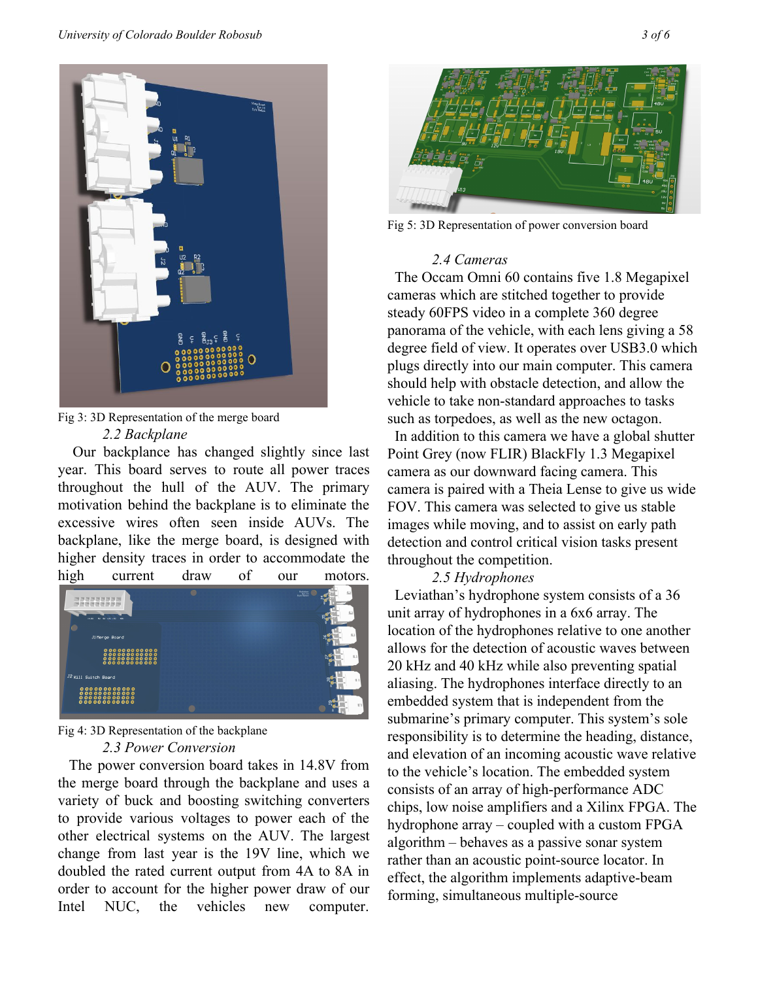

Fig 3: 3D Representation of the merge board *2.2 Backplane*

Our backplance has changed slightly since last year. This board serves to route all power traces throughout the hull of the AUV. The primary motivation behind the backplane is to eliminate the excessive wires often seen inside AUVs. The backplane, like the merge board, is designed with higher density traces in order to accommodate the high current draw of our motors.



## Fig 4: 3D Representation of the backplane *2.3 Power Conversion*

The power conversion board takes in 14.8V from the merge board through the backplane and uses a variety of buck and boosting switching converters to provide various voltages to power each of the other electrical systems on the AUV. The largest change from last year is the 19V line, which we doubled the rated current output from 4A to 8A in order to account for the higher power draw of our Intel NUC, the vehicles new computer.



Fig 5: 3D Representation of power conversion board

#### *2.4 Cameras*

 The Occam Omni 60 contains five 1.8 Megapixel cameras which are stitched together to provide steady 60FPS video in a complete 360 degree panorama of the vehicle, with each lens giving a 58 degree field of view. It operates over USB3.0 which plugs directly into our main computer. This camera should help with obstacle detection, and allow the vehicle to take non-standard approaches to tasks such as torpedoes, as well as the new octagon.

 In addition to this camera we have a global shutter Point Grey (now FLIR) BlackFly 1.3 Megapixel camera as our downward facing camera. This camera is paired with a Theia Lense to give us wide FOV. This camera was selected to give us stable images while moving, and to assist on early path detection and control critical vision tasks present throughout the competition.

#### *2.5 Hydrophones*

 Leviathan's hydrophone system consists of a 36 unit array of hydrophones in a 6x6 array. The location of the hydrophones relative to one another allows for the detection of acoustic waves between 20 kHz and 40 kHz while also preventing spatial aliasing. The hydrophones interface directly to an embedded system that is independent from the submarine's primary computer. This system's sole responsibility is to determine the heading, distance, and elevation of an incoming acoustic wave relative to the vehicle's location. The embedded system consists of an array of high-performance ADC chips, low noise amplifiers and a Xilinx FPGA. The hydrophone array – coupled with a custom FPGA algorithm – behaves as a passive sonar system rather than an acoustic point-source locator. In effect, the algorithm implements adaptive-beam forming, simultaneous multiple-source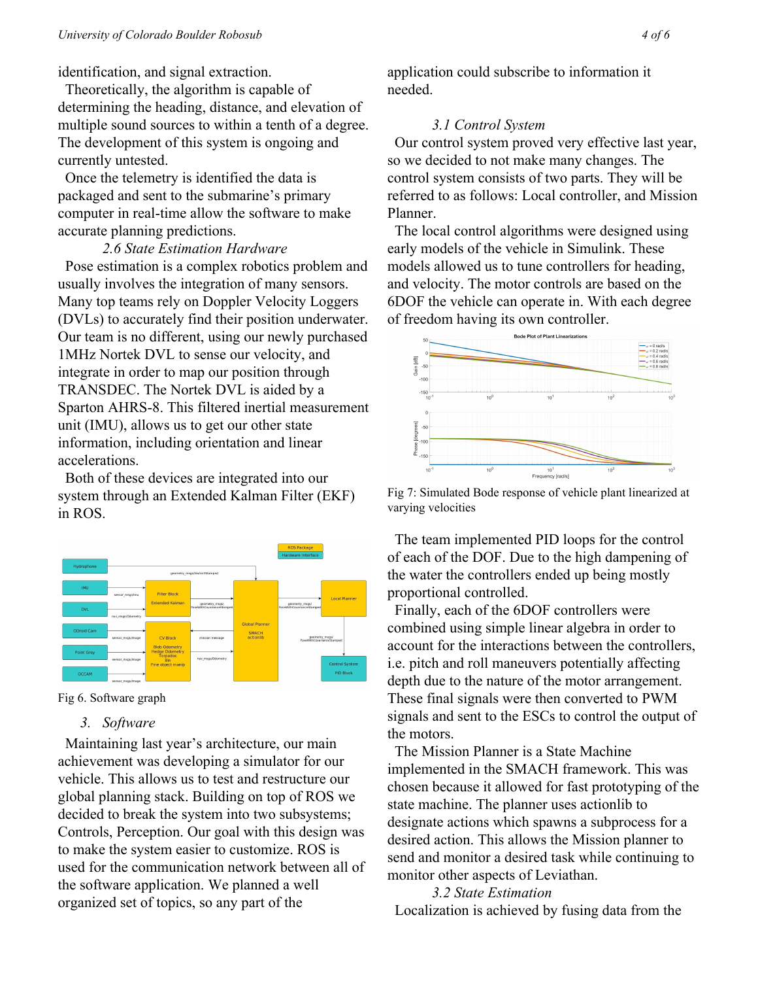identification, and signal extraction.

 Theoretically, the algorithm is capable of determining the heading, distance, and elevation of multiple sound sources to within a tenth of a degree. The development of this system is ongoing and currently untested.

 Once the telemetry is identified the data is packaged and sent to the submarine's primary computer in real-time allow the software to make accurate planning predictions.

*2.6 State Estimation Hardware* Pose estimation is a complex robotics problem and usually involves the integration of many sensors. Many top teams rely on Doppler Velocity Loggers (DVLs) to accurately find their position underwater. Our team is no different, using our newly purchased 1MHz Nortek DVL to sense our velocity, and integrate in order to map our position through TRANSDEC. The Nortek DVL is aided by a Sparton AHRS-8. This filtered inertial measurement unit (IMU), allows us to get our other state information, including orientation and linear accelerations.

 Both of these devices are integrated into our system through an Extended Kalman Filter (EKF) in ROS.



Fig 6. Software graph

# *3. Software*

 Maintaining last year's architecture, our main achievement was developing a simulator for our vehicle. This allows us to test and restructure our global planning stack. Building on top of ROS we decided to break the system into two subsystems; Controls, Perception. Our goal with this design was to make the system easier to customize. ROS is used for the communication network between all of the software application. We planned a well organized set of topics, so any part of the

application could subscribe to information it needed.

## *3.1 Control System*

 Our control system proved very effective last year, so we decided to not make many changes. The control system consists of two parts. They will be referred to as follows: Local controller, and Mission Planner.

 The local control algorithms were designed using early models of the vehicle in Simulink. These models allowed us to tune controllers for heading, and velocity. The motor controls are based on the 6DOF the vehicle can operate in. With each degree of freedom having its own controller.



Fig 7: Simulated Bode response of vehicle plant linearized at varying velocities

 The team implemented PID loops for the control of each of the DOF. Due to the high dampening of the water the controllers ended up being mostly proportional controlled.

 Finally, each of the 6DOF controllers were combined using simple linear algebra in order to account for the interactions between the controllers, i.e. pitch and roll maneuvers potentially affecting depth due to the nature of the motor arrangement. These final signals were then converted to PWM signals and sent to the ESCs to control the output of the motors.

 The Mission Planner is a State Machine implemented in the SMACH framework. This was chosen because it allowed for fast prototyping of the state machine. The planner uses actionlib to designate actions which spawns a subprocess for a desired action. This allows the Mission planner to send and monitor a desired task while continuing to monitor other aspects of Leviathan.

*3.2 State Estimation* Localization is achieved by fusing data from the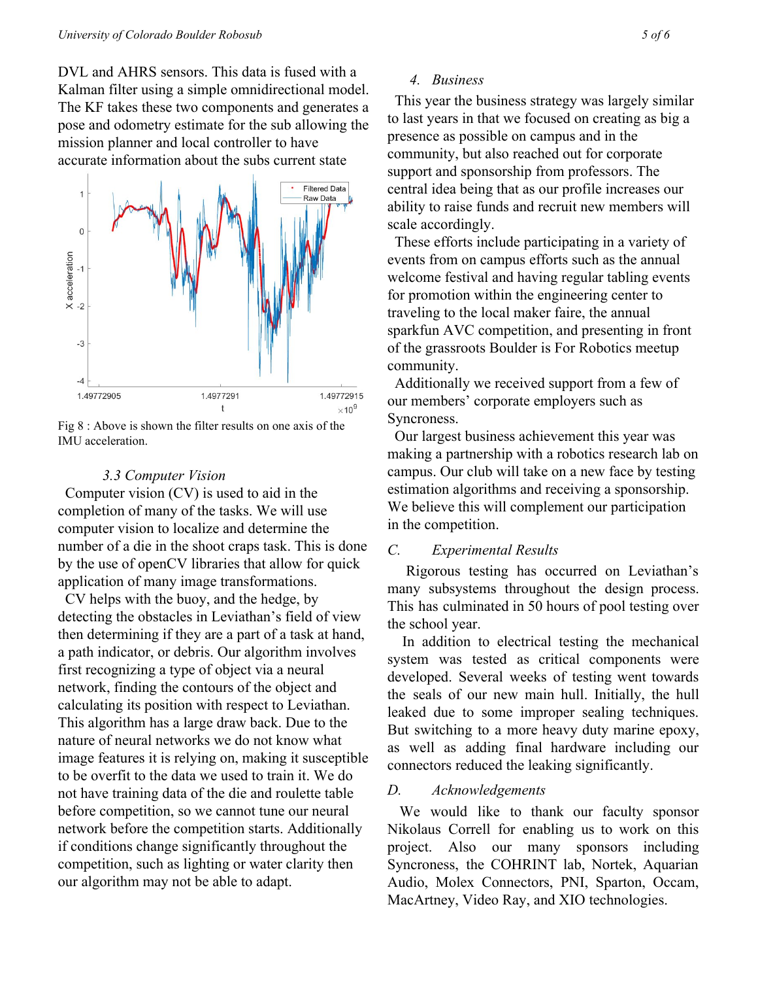DVL and AHRS sensors. This data is fused with a Kalman filter using a simple omnidirectional model. The KF takes these two components and generates a pose and odometry estimate for the sub allowing the mission planner and local controller to have accurate information about the subs current state



Fig 8 : Above is shown the filter results on one axis of the IMU acceleration.

#### *3.3 Computer Vision*

 Computer vision (CV) is used to aid in the completion of many of the tasks. We will use computer vision to localize and determine the number of a die in the shoot craps task. This is done by the use of openCV libraries that allow for quick application of many image transformations.

 CV helps with the buoy, and the hedge, by detecting the obstacles in Leviathan's field of view then determining if they are a part of a task at hand, a path indicator, or debris. Our algorithm involves first recognizing a type of object via a neural network, finding the contours of the object and calculating its position with respect to Leviathan. This algorithm has a large draw back. Due to the nature of neural networks we do not know what image features it is relying on, making it susceptible to be overfit to the data we used to train it. We do not have training data of the die and roulette table before competition, so we cannot tune our neural network before the competition starts. Additionally if conditions change significantly throughout the competition, such as lighting or water clarity then our algorithm may not be able to adapt.

#### *4. Business*

 This year the business strategy was largely similar to last years in that we focused on creating as big a presence as possible on campus and in the community, but also reached out for corporate support and sponsorship from professors. The central idea being that as our profile increases our ability to raise funds and recruit new members will scale accordingly.

 These efforts include participating in a variety of events from on campus efforts such as the annual welcome festival and having regular tabling events for promotion within the engineering center to traveling to the local maker faire, the annual sparkfun AVC competition, and presenting in front of the grassroots Boulder is For Robotics meetup community.

 Additionally we received support from a few of our members' corporate employers such as Syncroness.

 Our largest business achievement this year was making a partnership with a robotics research lab on campus. Our club will take on a new face by testing estimation algorithms and receiving a sponsorship. We believe this will complement our participation in the competition.

#### *C. Experimental Results*

Rigorous testing has occurred on Leviathan's many subsystems throughout the design process. This has culminated in 50 hours of pool testing over the school year.

In addition to electrical testing the mechanical system was tested as critical components were developed. Several weeks of testing went towards the seals of our new main hull. Initially, the hull leaked due to some improper sealing techniques. But switching to a more heavy duty marine epoxy, as well as adding final hardware including our connectors reduced the leaking significantly.

#### *D. Acknowledgements*

We would like to thank our faculty sponsor Nikolaus Correll for enabling us to work on this project. Also our many sponsors including Syncroness, the COHRINT lab, Nortek, Aquarian Audio, Molex Connectors, PNI, Sparton, Occam, MacArtney, Video Ray, and XIO technologies.